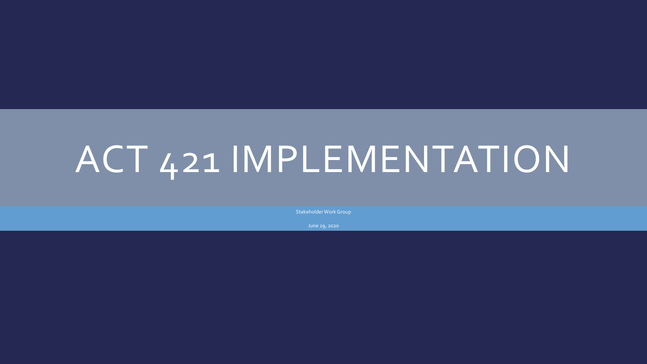# ACT 421 IMPLEMENTATION

Stakeholder Work Group

June 29, 2020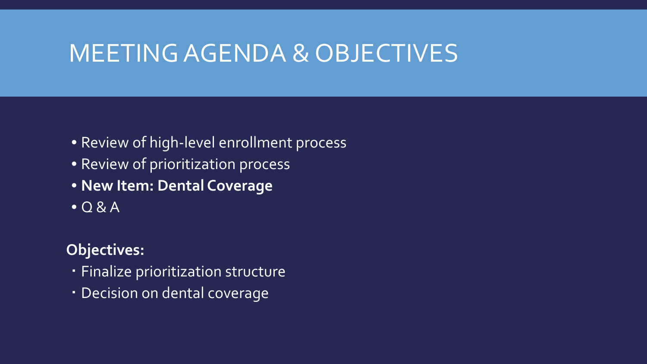### MEETING AGENDA & OBJECTIVES

- Review of high-level enrollment process
- Review of prioritization process
- **New Item: Dental Coverage**
- $\bullet$  Q & A

#### **Objectives:**

- Finalize prioritization structure
- Decision on dental coverage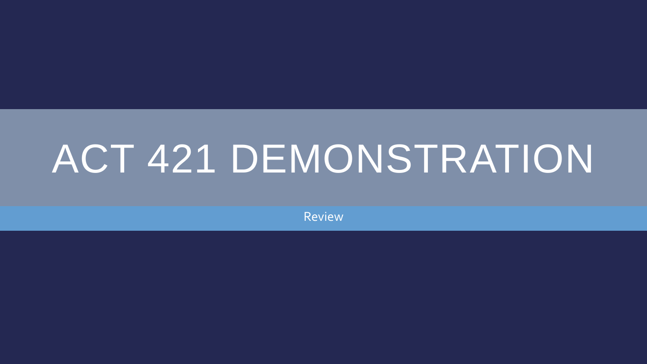# ACT 421 DEMONSTRATION

Review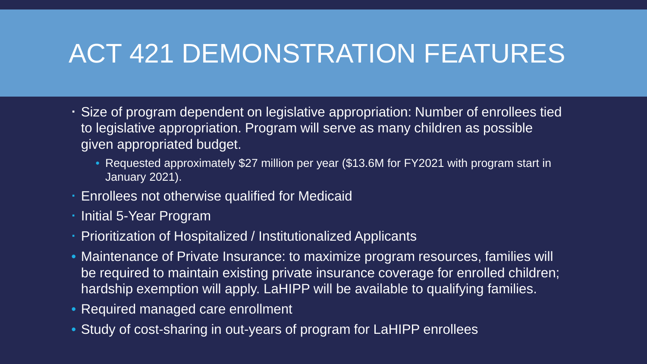## ACT 421 DEMONSTRATION FEATURES

- Size of program dependent on legislative appropriation: Number of enrollees tied to legislative appropriation. Program will serve as many children as possible given appropriated budget.
	- Requested approximately \$27 million per year (\$13.6M for FY2021 with program start in January 2021).
- Enrollees not otherwise qualified for Medicaid
- Initial 5-Year Program
- Prioritization of Hospitalized / Institutionalized Applicants
- Maintenance of Private Insurance: to maximize program resources, families will be required to maintain existing private insurance coverage for enrolled children; hardship exemption will apply. LaHIPP will be available to qualifying families.
- Required managed care enrollment
- Study of cost-sharing in out-years of program for LaHIPP enrollees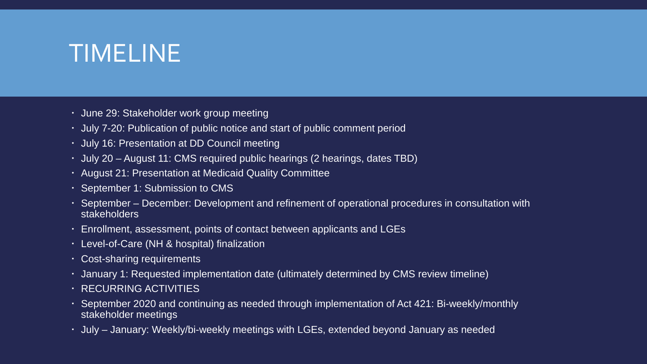### TIMELINE

- June 29: Stakeholder work group meeting
- July 7-20: Publication of public notice and start of public comment period
- July 16: Presentation at DD Council meeting
- July 20 August 11: CMS required public hearings (2 hearings, dates TBD)
- August 21: Presentation at Medicaid Quality Committee
- September 1: Submission to CMS
- September December: Development and refinement of operational procedures in consultation with stakeholders
- Enrollment, assessment, points of contact between applicants and LGEs
- Level-of-Care (NH & hospital) finalization
- Cost-sharing requirements
- January 1: Requested implementation date (ultimately determined by CMS review timeline)
- RECURRING ACTIVITIES
- September 2020 and continuing as needed through implementation of Act 421: Bi-weekly/monthly stakeholder meetings
- July January: Weekly/bi-weekly meetings with LGEs, extended beyond January as needed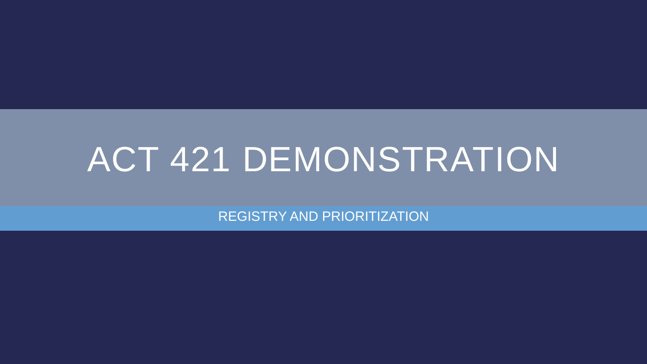## ACT 421 DEMONSTRATION

REGISTRY AND PRIORITIZATION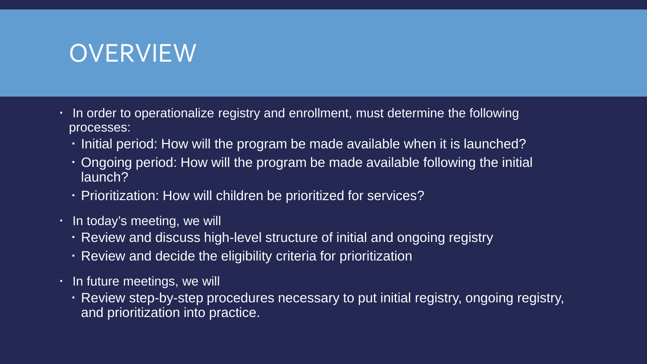#### OVERVIEW

- In order to operationalize registry and enrollment, must determine the following processes:
	- Initial period: How will the program be made available when it is launched?
	- Ongoing period: How will the program be made available following the initial launch?
	- Prioritization: How will children be prioritized for services?
- . In today's meeting, we will
	- Review and discuss high-level structure of initial and ongoing registry
	- Review and decide the eligibility criteria for prioritization
- **·** In future meetings, we will
	- Review step-by-step procedures necessary to put initial registry, ongoing registry, and prioritization into practice.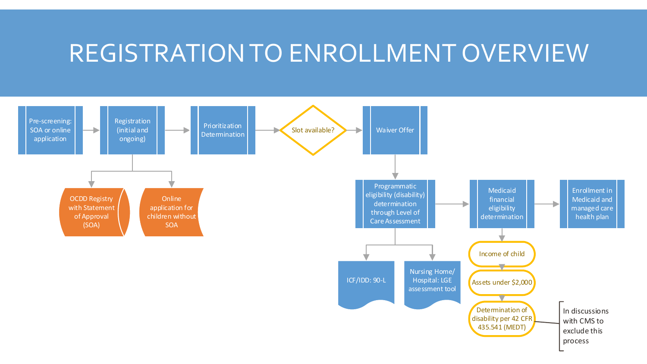#### REGISTRATION TO ENROLLMENT OVERVIEW

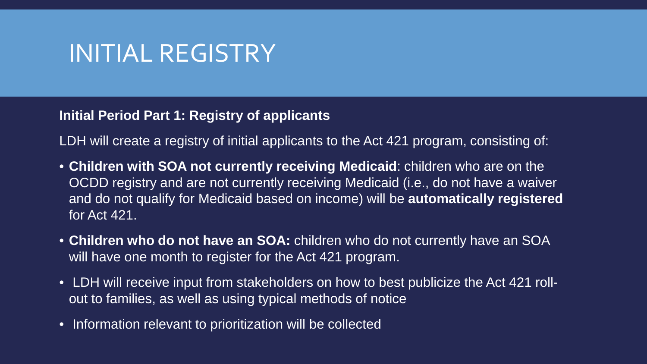**Initial Period Part 1: Registry of applicants**

LDH will create a registry of initial applicants to the Act 421 program, consisting of:

- **Children with SOA not currently receiving Medicaid**: children who are on the OCDD registry and are not currently receiving Medicaid (i.e., do not have a waiver and do not qualify for Medicaid based on income) will be **automatically registered** for Act 421.
- **Children who do not have an SOA:** children who do not currently have an SOA will have one month to register for the Act 421 program.
- LDH will receive input from stakeholders on how to best publicize the Act 421 rollout to families, as well as using typical methods of notice
- Information relevant to prioritization will be collected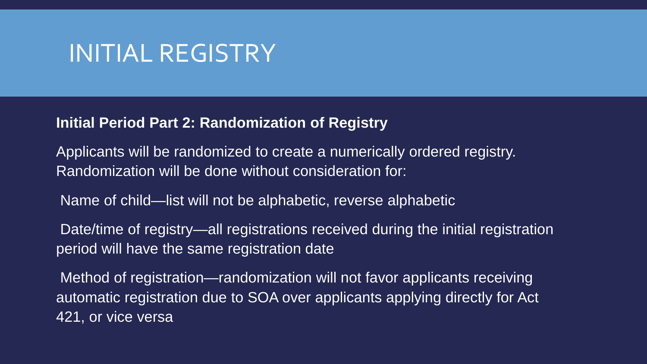#### **Initial Period Part 2: Randomization of Registry**

Applicants will be randomized to create a numerically ordered registry. Randomization will be done without consideration for:

Name of child—list will not be alphabetic, reverse alphabetic

Date/time of registry—all registrations received during the initial registration period will have the same registration date

Method of registration—randomization will not favor applicants receiving automatic registration due to SOA over applicants applying directly for Act 421, or vice versa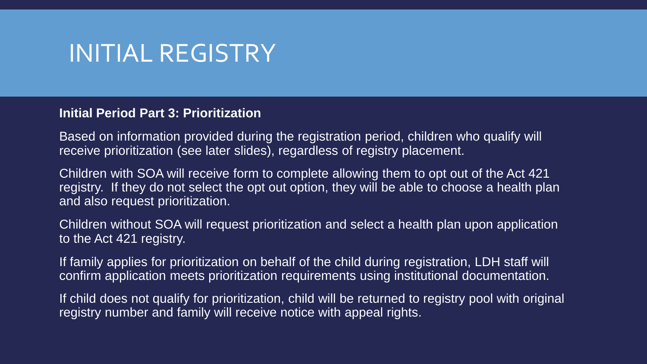#### **Initial Period Part 3: Prioritization**

Based on information provided during the registration period, children who qualify will receive prioritization (see later slides), regardless of registry placement.

Children with SOA will receive form to complete allowing them to opt out of the Act 421 registry. If they do not select the opt out option, they will be able to choose a health plan and also request prioritization.

Children without SOA will request prioritization and select a health plan upon application to the Act 421 registry.

If family applies for prioritization on behalf of the child during registration, LDH staff will confirm application meets prioritization requirements using institutional documentation.

If child does not qualify for prioritization, child will be returned to registry pool with original registry number and family will receive notice with appeal rights.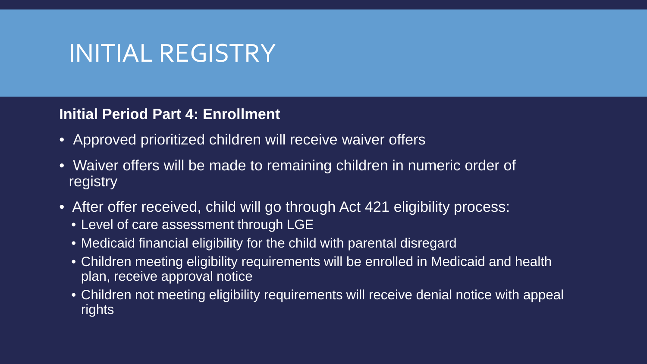#### **Initial Period Part 4: Enrollment**

- Approved prioritized children will receive waiver offers
- Waiver offers will be made to remaining children in numeric order of registry
- After offer received, child will go through Act 421 eligibility process:
	- Level of care assessment through LGE
	- Medicaid financial eligibility for the child with parental disregard
	- Children meeting eligibility requirements will be enrolled in Medicaid and health plan, receive approval notice
	- Children not meeting eligibility requirements will receive denial notice with appeal rights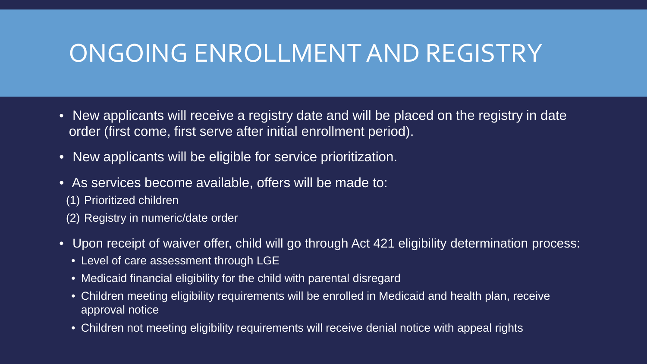#### ONGOING ENROLLMENT AND REGISTRY

- New applicants will receive a registry date and will be placed on the registry in date order (first come, first serve after initial enrollment period).
- New applicants will be eligible for service prioritization.
- As services become available, offers will be made to: (1) Prioritized children (2) Registry in numeric/date order
- Upon receipt of waiver offer, child will go through Act 421 eligibility determination process:
	- Level of care assessment through LGE
	- Medicaid financial eligibility for the child with parental disregard
	- Children meeting eligibility requirements will be enrolled in Medicaid and health plan, receive approval notice
	- Children not meeting eligibility requirements will receive denial notice with appeal rights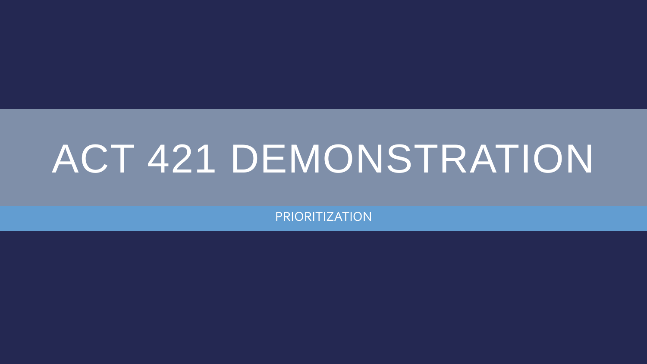# ACT 421 DEMONSTRATION

PRIORITIZATION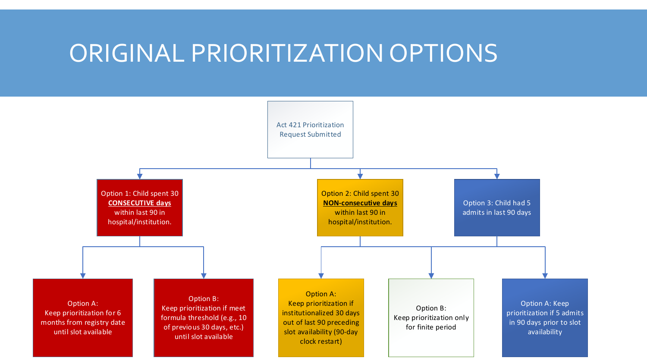#### ORIGINAL PRIORITIZATION OPTIONS

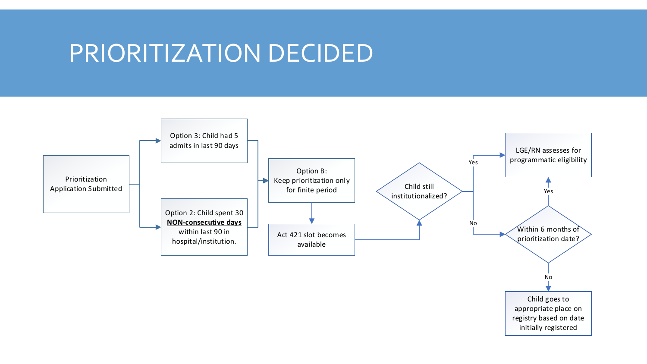#### PRIORITIZATION DECIDED

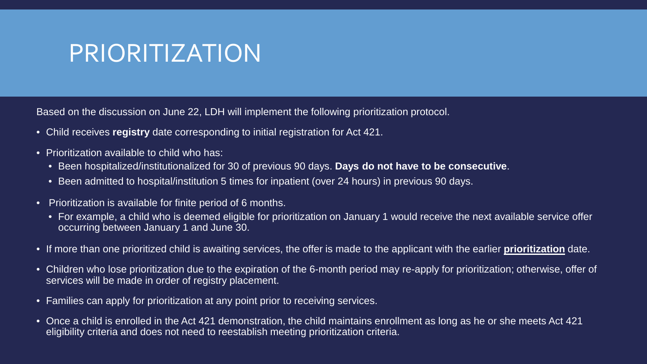### PRIORITIZATION

Based on the discussion on June 22, LDH will implement the following prioritization protocol.

- Child receives **registry** date corresponding to initial registration for Act 421.
- Prioritization available to child who has:
	- Been hospitalized/institutionalized for 30 of previous 90 days. **Days do not have to be consecutive**.
	- Been admitted to hospital/institution 5 times for inpatient (over 24 hours) in previous 90 days.
- Prioritization is available for finite period of 6 months.
	- For example, a child who is deemed eligible for prioritization on January 1 would receive the next available service offer occurring between January 1 and June 30.
- If more than one prioritized child is awaiting services, the offer is made to the applicant with the earlier **prioritization** date.
- Children who lose prioritization due to the expiration of the 6-month period may re-apply for prioritization; otherwise, offer of services will be made in order of registry placement.
- Families can apply for prioritization at any point prior to receiving services.
- Once a child is enrolled in the Act 421 demonstration, the child maintains enrollment as long as he or she meets Act 421 eligibility criteria and does not need to reestablish meeting prioritization criteria.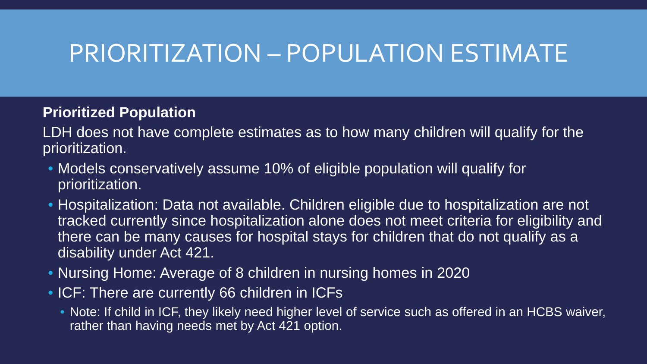### PRIORITIZATION – POPULATION ESTIMATE

#### **Prioritized Population**

LDH does not have complete estimates as to how many children will qualify for the prioritization.

- Models conservatively assume 10% of eligible population will qualify for prioritization.
- Hospitalization: Data not available. Children eligible due to hospitalization are not tracked currently since hospitalization alone does not meet criteria for eligibility and there can be many causes for hospital stays for children that do not qualify as a disability under Act 421.
- Nursing Home: Average of 8 children in nursing homes in 2020
- ICF: There are currently 66 children in ICFs
	- Note: If child in ICF, they likely need higher level of service such as offered in an HCBS waiver, rather than having needs met by Act 421 option.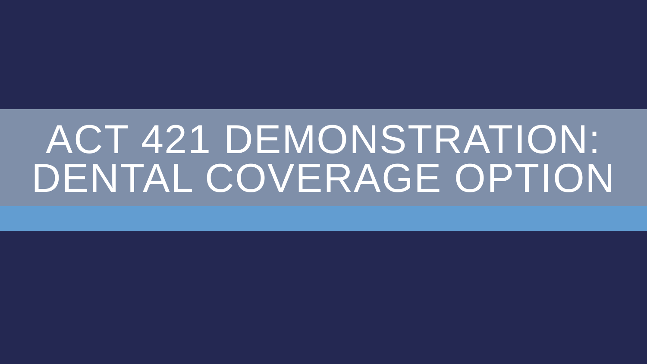# ACT 421 DEMONSTRATION: DENTAL COVERAGE OPTION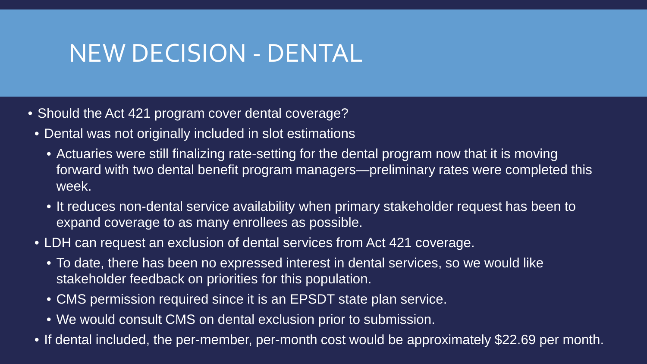### NEW DECISION - DENTAL

- Should the Act 421 program cover dental coverage?
	- Dental was not originally included in slot estimations
		- Actuaries were still finalizing rate-setting for the dental program now that it is moving forward with two dental benefit program managers—preliminary rates were completed this week.
		- It reduces non-dental service availability when primary stakeholder request has been to expand coverage to as many enrollees as possible.
	- LDH can request an exclusion of dental services from Act 421 coverage.
		- To date, there has been no expressed interest in dental services, so we would like stakeholder feedback on priorities for this population.
		- CMS permission required since it is an EPSDT state plan service.
		- We would consult CMS on dental exclusion prior to submission.
	- If dental included, the per-member, per-month cost would be approximately \$22.69 per month.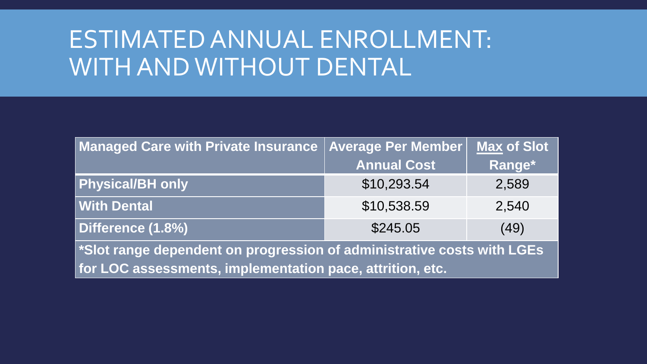## ESTIMATED ANNUAL ENROLLMENT: WITH AND WITHOUT DENTAL

| Managed Care with Private Insurance                                                             | <b>Average Per Member</b> | <b>Max of Slot</b> |
|-------------------------------------------------------------------------------------------------|---------------------------|--------------------|
|                                                                                                 | <b>Annual Cost</b>        | Range*             |
| <b>Physical/BH</b> only                                                                         | \$10,293.54               | 2,589              |
| <b>With Dental</b>                                                                              | \$10,538.59               | 2,540              |
| Difference (1.8%)                                                                               | \$245.05                  | (49)               |
| $\mathord{\restriction}$ *Slot range dependent on progression of administrative costs with LGEs |                           |                    |
| for LOC assessments, implementation pace, attrition, etc.                                       |                           |                    |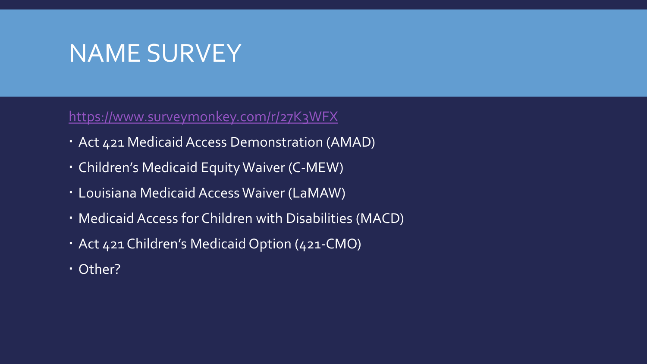### NAME SURVEY

#### <https://www.surveymonkey.com/r/27K3WFX>

- Act 421 Medicaid Access Demonstration (AMAD)
- Children's Medicaid Equity Waiver (C-MEW)
- Louisiana Medicaid Access Waiver (LaMAW)
- Medicaid Access for Children with Disabilities (MACD)
- Act 421 Children's Medicaid Option (421-CMO)
- Other?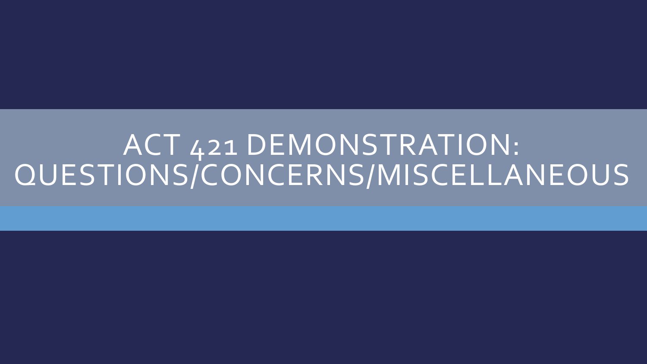## ACT 421 DEMONSTRATION: QUESTIONS/CONCERNS/MISCELLANEOUS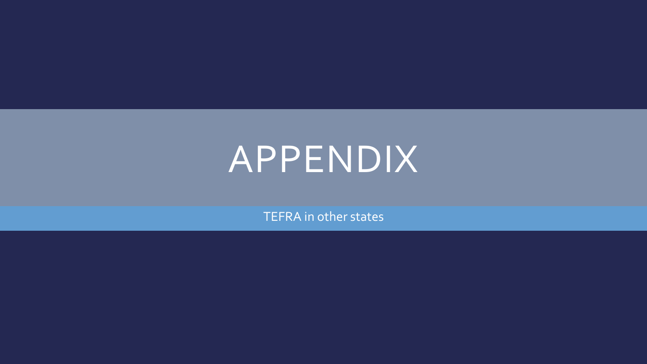## APPENDIX

TEFRA in other states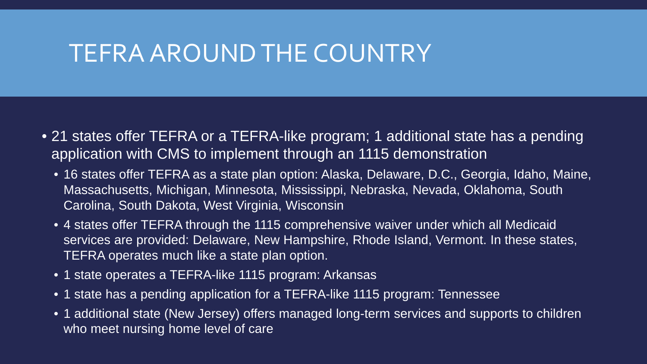#### TEFRA AROUND THE COUNTRY

- 21 states offer TEFRA or a TEFRA-like program; 1 additional state has a pending application with CMS to implement through an 1115 demonstration
	- 16 states offer TEFRA as a state plan option: Alaska, Delaware, D.C., Georgia, Idaho, Maine, Massachusetts, Michigan, Minnesota, Mississippi, Nebraska, Nevada, Oklahoma, South Carolina, South Dakota, West Virginia, Wisconsin
	- 4 states offer TEFRA through the 1115 comprehensive waiver under which all Medicaid services are provided: Delaware, New Hampshire, Rhode Island, Vermont. In these states, TEFRA operates much like a state plan option.
	- 1 state operates a TEFRA-like 1115 program: Arkansas
	- 1 state has a pending application for a TEFRA-like 1115 program: Tennessee
	- 1 additional state (New Jersey) offers managed long-term services and supports to children who meet nursing home level of care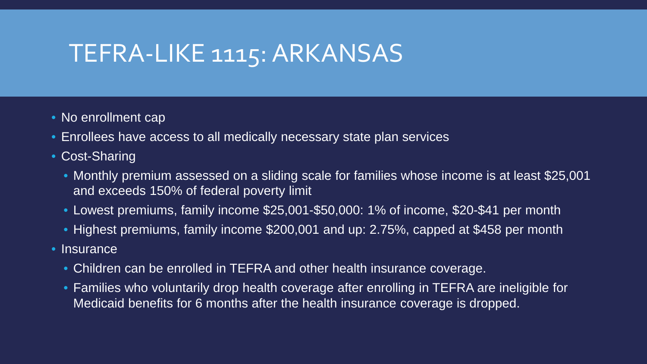### TEFRA-LIKE 1115: ARKANSAS

- No enrollment cap
- Enrollees have access to all medically necessary state plan services
- Cost-Sharing
	- Monthly premium assessed on a sliding scale for families whose income is at least \$25,001 and exceeds 150% of federal poverty limit
	- Lowest premiums, family income \$25,001-\$50,000: 1% of income, \$20-\$41 per month
	- Highest premiums, family income \$200,001 and up: 2.75%, capped at \$458 per month
- Insurance
	- Children can be enrolled in TEFRA and other health insurance coverage.
	- Families who voluntarily drop health coverage after enrolling in TEFRA are ineligible for Medicaid benefits for 6 months after the health insurance coverage is dropped.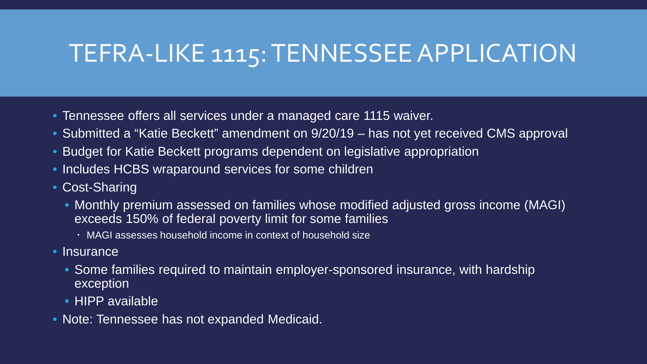### TEFRA-LIKE 1115: TENNESSEE APPLICATION

- Tennessee offers all services under a managed care 1115 waiver.
- Submitted a "Katie Beckett" amendment on  $9/20/19$  has not yet received CMS approval
- Budget for Katie Beckett programs dependent on legislative appropriation
- Includes HCBS wraparound services for some children
- Cost-Sharing
	- Monthly premium assessed on families whose modified adjusted gross income (MAGI) exceeds 150% of federal poverty limit for some families
		- MAGI assesses household income in context of household size
- Insurance
	- Some families required to maintain employer-sponsored insurance, with hardship exception
	- HIPP available
- Note: Tennessee has not expanded Medicaid.